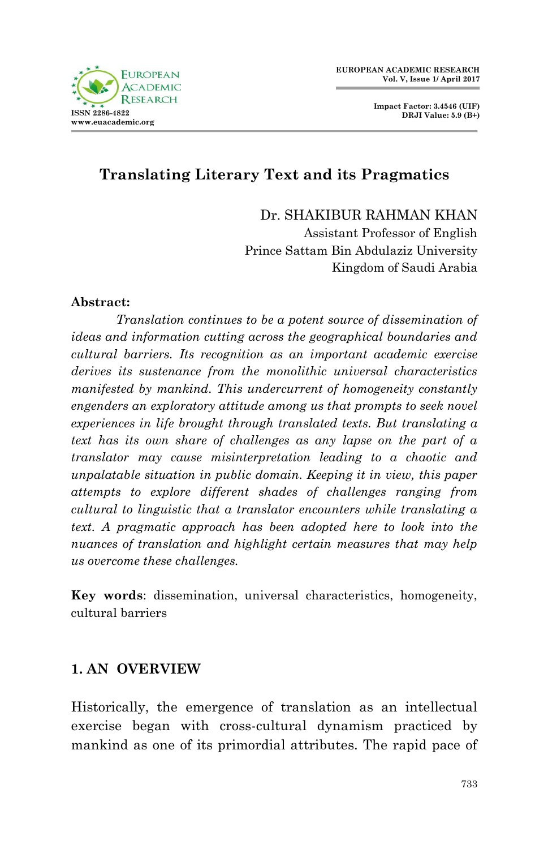

# **Translating Literary Text and its Pragmatics**

Dr. SHAKIBUR RAHMAN KHAN

 Assistant Professor of English Prince Sattam Bin Abdulaziz University Kingdom of Saudi Arabia

#### **Abstract:**

*Translation continues to be a potent source of dissemination of ideas and information cutting across the geographical boundaries and cultural barriers. Its recognition as an important academic exercise derives its sustenance from the monolithic universal characteristics manifested by mankind. This undercurrent of homogeneity constantly engenders an exploratory attitude among us that prompts to seek novel experiences in life brought through translated texts. But translating a text has its own share of challenges as any lapse on the part of a translator may cause misinterpretation leading to a chaotic and unpalatable situation in public domain. Keeping it in view, this paper attempts to explore different shades of challenges ranging from cultural to linguistic that a translator encounters while translating a text.* A pragmatic approach has been adopted here to look into the *nuances of translation and highlight certain measures that may help us overcome these challenges.*

**Key words**: dissemination, universal characteristics, homogeneity, cultural barriers

# **1. AN OVERVIEW**

Historically, the emergence of translation as an intellectual exercise began with cross-cultural dynamism practiced by mankind as one of its primordial attributes. The rapid pace of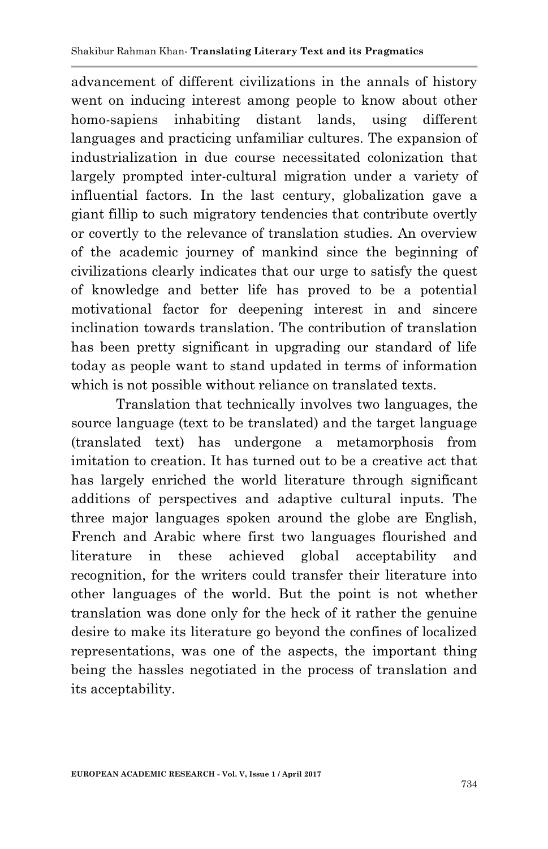advancement of different civilizations in the annals of history went on inducing interest among people to know about other homo-sapiens inhabiting distant lands, using different languages and practicing unfamiliar cultures. The expansion of industrialization in due course necessitated colonization that largely prompted inter-cultural migration under a variety of influential factors. In the last century, globalization gave a giant fillip to such migratory tendencies that contribute overtly or covertly to the relevance of translation studies. An overview of the academic journey of mankind since the beginning of civilizations clearly indicates that our urge to satisfy the quest of knowledge and better life has proved to be a potential motivational factor for deepening interest in and sincere inclination towards translation. The contribution of translation has been pretty significant in upgrading our standard of life today as people want to stand updated in terms of information which is not possible without reliance on translated texts.

 Translation that technically involves two languages, the source language (text to be translated) and the target language (translated text) has undergone a metamorphosis from imitation to creation. It has turned out to be a creative act that has largely enriched the world literature through significant additions of perspectives and adaptive cultural inputs. The three major languages spoken around the globe are English, French and Arabic where first two languages flourished and literature in these achieved global acceptability and recognition, for the writers could transfer their literature into other languages of the world. But the point is not whether translation was done only for the heck of it rather the genuine desire to make its literature go beyond the confines of localized representations, was one of the aspects, the important thing being the hassles negotiated in the process of translation and its acceptability.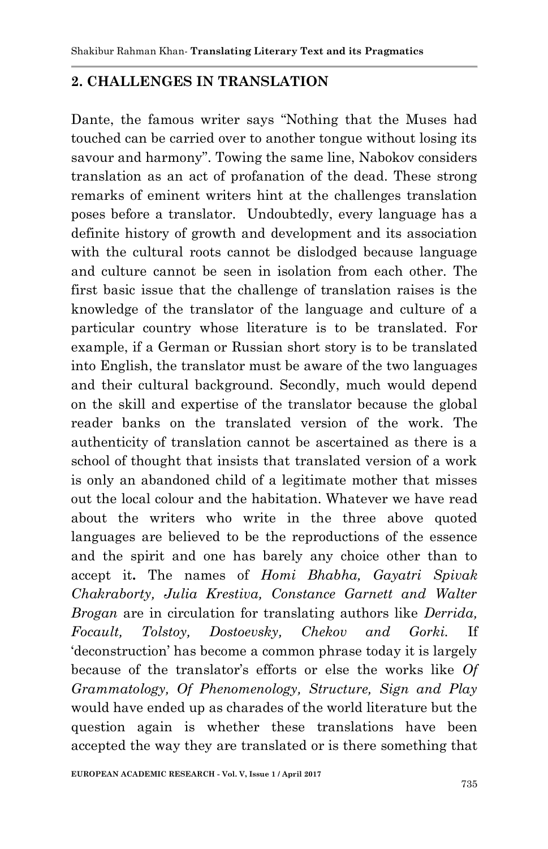### **2. CHALLENGES IN TRANSLATION**

Dante, the famous writer says "Nothing that the Muses had touched can be carried over to another tongue without losing its savour and harmony". Towing the same line, Nabokov considers translation as an act of profanation of the dead. These strong remarks of eminent writers hint at the challenges translation poses before a translator. Undoubtedly, every language has a definite history of growth and development and its association with the cultural roots cannot be dislodged because language and culture cannot be seen in isolation from each other. The first basic issue that the challenge of translation raises is the knowledge of the translator of the language and culture of a particular country whose literature is to be translated. For example, if a German or Russian short story is to be translated into English, the translator must be aware of the two languages and their cultural background. Secondly, much would depend on the skill and expertise of the translator because the global reader banks on the translated version of the work. The authenticity of translation cannot be ascertained as there is a school of thought that insists that translated version of a work is only an abandoned child of a legitimate mother that misses out the local colour and the habitation. Whatever we have read about the writers who write in the three above quoted languages are believed to be the reproductions of the essence and the spirit and one has barely any choice other than to accept it**.** The names of *Homi Bhabha, Gayatri Spivak Chakraborty, Julia Krestiva, Constance Garnett and Walter Brogan* are in circulation for translating authors like *Derrida, Focault, Tolstoy, Dostoevsky, Chekov and Gorki.* If "deconstruction" has become a common phrase today it is largely because of the translator"s efforts or else the works like *Of Grammatology, Of Phenomenology, Structure, Sign and Play* would have ended up as charades of the world literature but the question again is whether these translations have been accepted the way they are translated or is there something that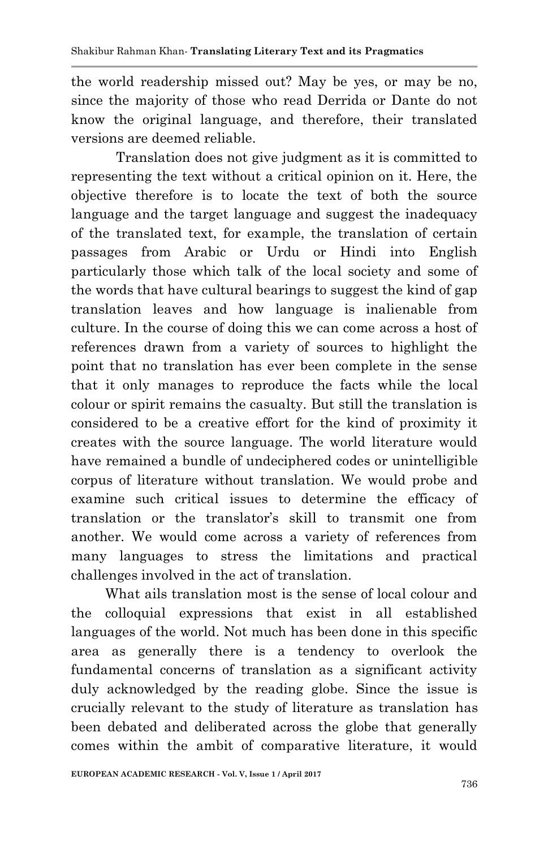the world readership missed out? May be yes, or may be no, since the majority of those who read Derrida or Dante do not know the original language, and therefore, their translated versions are deemed reliable.

Translation does not give judgment as it is committed to representing the text without a critical opinion on it. Here, the objective therefore is to locate the text of both the source language and the target language and suggest the inadequacy of the translated text, for example, the translation of certain passages from Arabic or Urdu or Hindi into English particularly those which talk of the local society and some of the words that have cultural bearings to suggest the kind of gap translation leaves and how language is inalienable from culture. In the course of doing this we can come across a host of references drawn from a variety of sources to highlight the point that no translation has ever been complete in the sense that it only manages to reproduce the facts while the local colour or spirit remains the casualty. But still the translation is considered to be a creative effort for the kind of proximity it creates with the source language. The world literature would have remained a bundle of undeciphered codes or unintelligible corpus of literature without translation. We would probe and examine such critical issues to determine the efficacy of translation or the translator"s skill to transmit one from another. We would come across a variety of references from many languages to stress the limitations and practical challenges involved in the act of translation.

 What ails translation most is the sense of local colour and the colloquial expressions that exist in all established languages of the world. Not much has been done in this specific area as generally there is a tendency to overlook the fundamental concerns of translation as a significant activity duly acknowledged by the reading globe. Since the issue is crucially relevant to the study of literature as translation has been debated and deliberated across the globe that generally comes within the ambit of comparative literature, it would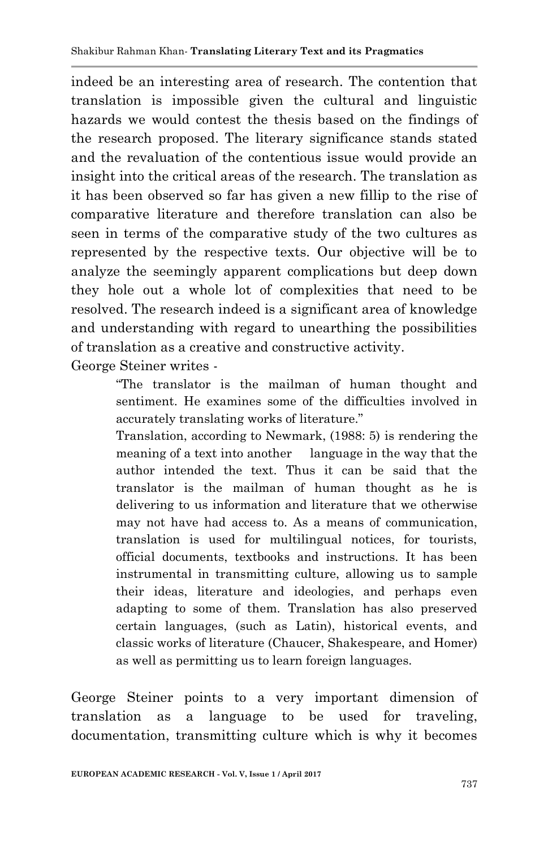indeed be an interesting area of research. The contention that translation is impossible given the cultural and linguistic hazards we would contest the thesis based on the findings of the research proposed. The literary significance stands stated and the revaluation of the contentious issue would provide an insight into the critical areas of the research. The translation as it has been observed so far has given a new fillip to the rise of comparative literature and therefore translation can also be seen in terms of the comparative study of the two cultures as represented by the respective texts. Our objective will be to analyze the seemingly apparent complications but deep down they hole out a whole lot of complexities that need to be resolved. The research indeed is a significant area of knowledge and understanding with regard to unearthing the possibilities of translation as a creative and constructive activity.

George Steiner writes -

"The translator is the mailman of human thought and sentiment. He examines some of the difficulties involved in accurately translating works of literature."

Translation, according to Newmark, (1988: 5) is rendering the meaning of a text into another language in the way that the author intended the text. Thus it can be said that the translator is the mailman of human thought as he is delivering to us information and literature that we otherwise may not have had access to. As a means of communication, translation is used for multilingual notices, for tourists, official documents, textbooks and instructions. It has been instrumental in transmitting culture, allowing us to sample their ideas, literature and ideologies, and perhaps even adapting to some of them. Translation has also preserved certain languages, (such as Latin), historical events, and classic works of literature (Chaucer, Shakespeare, and Homer) as well as permitting us to learn foreign languages.

George Steiner points to a very important dimension of translation as a language to be used for traveling, documentation, transmitting culture which is why it becomes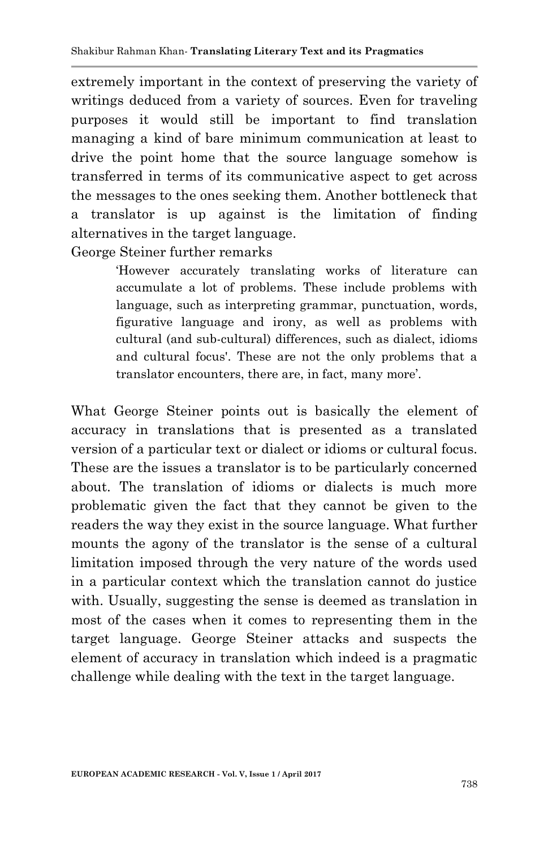extremely important in the context of preserving the variety of writings deduced from a variety of sources. Even for traveling purposes it would still be important to find translation managing a kind of bare minimum communication at least to drive the point home that the source language somehow is transferred in terms of its communicative aspect to get across the messages to the ones seeking them. Another bottleneck that a translator is up against is the limitation of finding alternatives in the target language.

George Steiner further remarks

"However accurately translating works of literature can accumulate a lot of problems. These include problems with language, such as interpreting grammar, punctuation, words, figurative language and irony, as well as problems with cultural (and sub-cultural) differences, such as dialect, idioms and cultural focus'. These are not the only problems that a translator encounters, there are, in fact, many more'.

What George Steiner points out is basically the element of accuracy in translations that is presented as a translated version of a particular text or dialect or idioms or cultural focus. These are the issues a translator is to be particularly concerned about. The translation of idioms or dialects is much more problematic given the fact that they cannot be given to the readers the way they exist in the source language. What further mounts the agony of the translator is the sense of a cultural limitation imposed through the very nature of the words used in a particular context which the translation cannot do justice with. Usually, suggesting the sense is deemed as translation in most of the cases when it comes to representing them in the target language. George Steiner attacks and suspects the element of accuracy in translation which indeed is a pragmatic challenge while dealing with the text in the target language.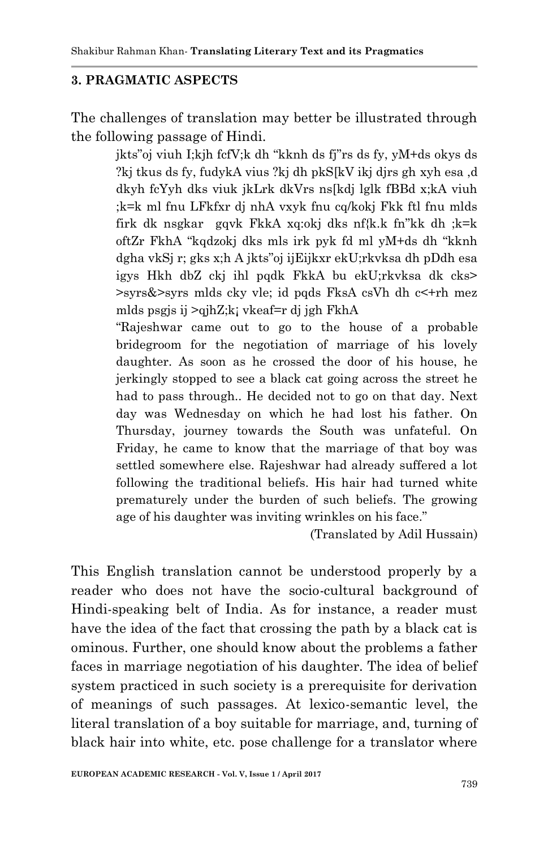#### **3. PRAGMATIC ASPECTS**

The challenges of translation may better be illustrated through the following passage of Hindi.

> jkts"oj viuh I;kjh fcfV;k dh "kknh ds fj"rs ds fy, yM+ds okys ds ?kj tkus ds fy, fudykA vius ?kj dh pkS[kV ikj djrs gh xyh esa ,d dkyh fcYyh dks viuk jkLrk dkVrs ns[kdj lglk fBBd x;kA viuh ;k=k ml fnu LFkfxr dj nhA vxyk fnu cq/kokj Fkk ftl fnu mlds firk dk nsgkar gqvk FkkA xq:okj dks nf{k.k fn"kk dh ;k=k oftZr FkhA "kqdzokj dks mls irk pyk fd ml yM+ds dh "kknh dgha vkSj r; gks x;h A jkts"oj ijEijkxr ekU;rkvksa dh pDdh esa igys Hkh dbZ ckj ihl pqdk FkkA bu ekU;rkvksa dk cks> >syrs&>syrs mlds cky vle; id pqds FksA csVh dh c<+rh mez mlds psgjs ij >qjhZ;k¡ vkeaf=r dj jgh FkhA

> "Rajeshwar came out to go to the house of a probable bridegroom for the negotiation of marriage of his lovely daughter. As soon as he crossed the door of his house, he jerkingly stopped to see a black cat going across the street he had to pass through.. He decided not to go on that day. Next day was Wednesday on which he had lost his father. On Thursday, journey towards the South was unfateful. On Friday, he came to know that the marriage of that boy was settled somewhere else. Rajeshwar had already suffered a lot following the traditional beliefs. His hair had turned white prematurely under the burden of such beliefs. The growing age of his daughter was inviting wrinkles on his face."

> > (Translated by Adil Hussain)

This English translation cannot be understood properly by a reader who does not have the socio-cultural background of Hindi-speaking belt of India. As for instance, a reader must have the idea of the fact that crossing the path by a black cat is ominous. Further, one should know about the problems a father faces in marriage negotiation of his daughter. The idea of belief system practiced in such society is a prerequisite for derivation of meanings of such passages. At lexico-semantic level, the literal translation of a boy suitable for marriage, and, turning of black hair into white, etc. pose challenge for a translator where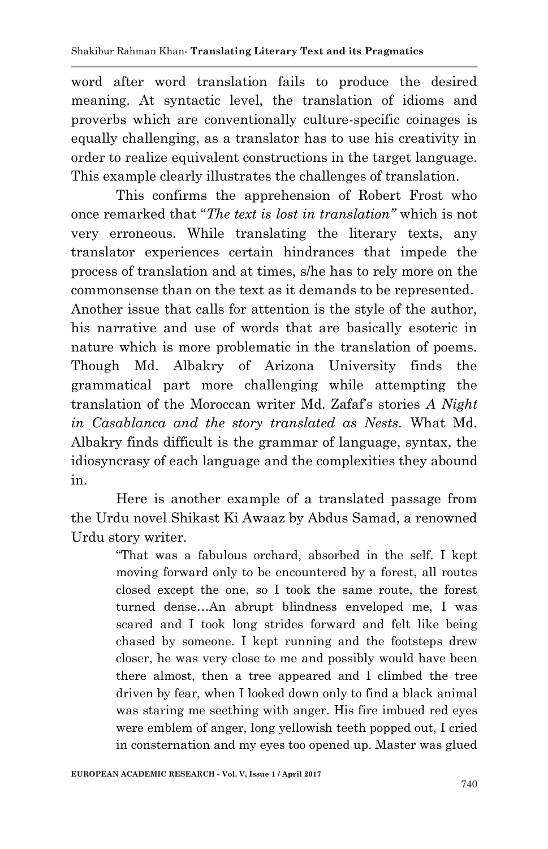word after word translation fails to produce the desired meaning. At syntactic level, the translation of idioms and proverbs which are conventionally culture-specific coinages is equally challenging, as a translator has to use his creativity in order to realize equivalent constructions in the target language. This example clearly illustrates the challenges of translation.

This confirms the apprehension of Robert Frost who once remarked that "*The text is lost in translation"* which is not very erroneous. While translating the literary texts, any translator experiences certain hindrances that impede the process of translation and at times, s/he has to rely more on the commonsense than on the text as it demands to be represented. Another issue that calls for attention is the style of the author, his narrative and use of words that are basically esoteric in nature which is more problematic in the translation of poems.

Though Md. Albakry of Arizona University finds the grammatical part more challenging while attempting the translation of the Moroccan writer Md. Zafaf"s stories *A Night in Casablanca and the story translated as Nests.* What Md. Albakry finds difficult is the grammar of language, syntax, the idiosyncrasy of each language and the complexities they abound in.

Here is another example of a translated passage from the Urdu novel Shikast Ki Awaaz by Abdus Samad, a renowned Urdu story writer.

> "That was a fabulous orchard, absorbed in the self. I kept moving forward only to be encountered by a forest, all routes closed except the one, so I took the same route, the forest turned dense…An abrupt blindness enveloped me, I was scared and I took long strides forward and felt like being chased by someone. I kept running and the footsteps drew closer, he was very close to me and possibly would have been there almost, then a tree appeared and I climbed the tree driven by fear, when I looked down only to find a black animal was staring me seething with anger. His fire imbued red eyes were emblem of anger, long yellowish teeth popped out, I cried in consternation and my eyes too opened up. Master was glued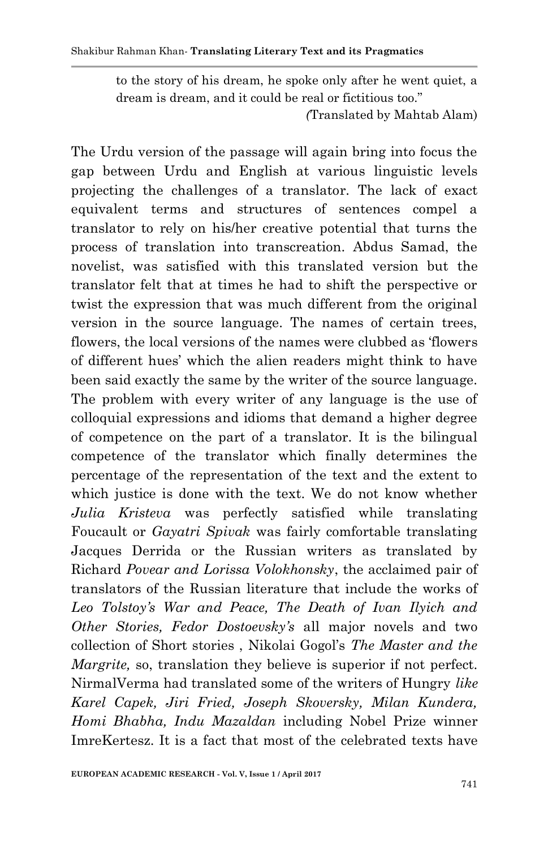to the story of his dream, he spoke only after he went quiet, a dream is dream, and it could be real or fictitious too."

 *(*Translated by Mahtab Alam)

The Urdu version of the passage will again bring into focus the gap between Urdu and English at various linguistic levels projecting the challenges of a translator. The lack of exact equivalent terms and structures of sentences compel a translator to rely on his/her creative potential that turns the process of translation into transcreation. Abdus Samad, the novelist, was satisfied with this translated version but the translator felt that at times he had to shift the perspective or twist the expression that was much different from the original version in the source language. The names of certain trees, flowers, the local versions of the names were clubbed as "flowers of different hues" which the alien readers might think to have been said exactly the same by the writer of the source language. The problem with every writer of any language is the use of colloquial expressions and idioms that demand a higher degree of competence on the part of a translator. It is the bilingual competence of the translator which finally determines the percentage of the representation of the text and the extent to which justice is done with the text. We do not know whether *Julia Kristeva* was perfectly satisfied while translating Foucault or *Gayatri Spivak* was fairly comfortable translating Jacques Derrida or the Russian writers as translated by Richard *Povear and Lorissa Volokhonsky*, the acclaimed pair of translators of the Russian literature that include the works of *Leo Tolstoy's War and Peace, The Death of Ivan Ilyich and Other Stories, Fedor Dostoevsky's* all major novels and two collection of Short stories , Nikolai Gogol"s *The Master and the Margrite,* so, translation they believe is superior if not perfect. NirmalVerma had translated some of the writers of Hungry *like Karel Capek, Jiri Fried, Joseph Skoversky, Milan Kundera, Homi Bhabha, Indu Mazaldan* including Nobel Prize winner ImreKertesz. It is a fact that most of the celebrated texts have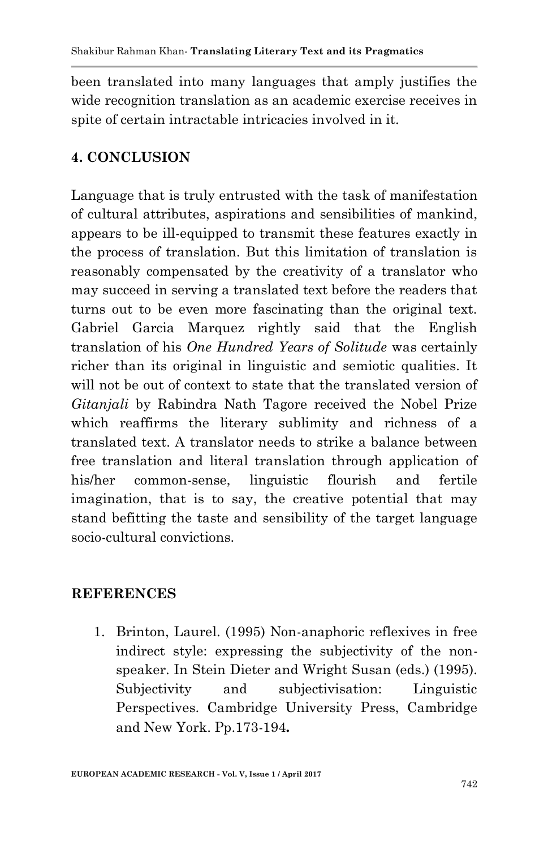been translated into many languages that amply justifies the wide recognition translation as an academic exercise receives in spite of certain intractable intricacies involved in it.

# **4. CONCLUSION**

Language that is truly entrusted with the task of manifestation of cultural attributes, aspirations and sensibilities of mankind, appears to be ill-equipped to transmit these features exactly in the process of translation. But this limitation of translation is reasonably compensated by the creativity of a translator who may succeed in serving a translated text before the readers that turns out to be even more fascinating than the original text. Gabriel Garcia Marquez rightly said that the English translation of his *One Hundred Years of Solitude* was certainly richer than its original in linguistic and semiotic qualities. It will not be out of context to state that the translated version of *Gitanjali* by Rabindra Nath Tagore received the Nobel Prize which reaffirms the literary sublimity and richness of a translated text. A translator needs to strike a balance between free translation and literal translation through application of his/her common-sense, linguistic flourish and fertile imagination, that is to say, the creative potential that may stand befitting the taste and sensibility of the target language socio-cultural convictions.

# **REFERENCES**

1. Brinton, Laurel. (1995) Non-anaphoric reflexives in free indirect style: expressing the subjectivity of the nonspeaker. In Stein Dieter and Wright Susan (eds.) (1995). Subjectivity and subjectivisation: Linguistic Perspectives. Cambridge University Press, Cambridge and New York. Pp.173-194**.**